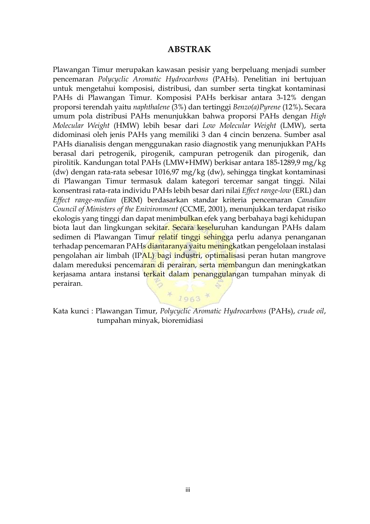## **ABSTRAK**

Plawangan Timur merupakan kawasan pesisir yang berpeluang menjadi sumber pencemaran *Polycyclic Aromatic Hydrocarbons* (PAHs). Penelitian ini bertujuan untuk mengetahui komposisi, distribusi, dan sumber serta tingkat kontaminasi PAHs di Plawangan Timur. Komposisi PAHs berkisar antara 3-12% dengan proporsi terendah yaitu *naphthalene* (3%) dan tertinggi *Benzo(a)Pyrene* (12%)**.** Secara umum pola distribusi PAHs menunjukkan bahwa proporsi PAHs dengan *High Molecular Weight* (HMW) lebih besar dari *Low Molecular Weight* (LMW), serta didominasi oleh jenis PAHs yang memiliki 3 dan 4 cincin benzena. Sumber asal PAHs dianalisis dengan menggunakan rasio diagnostik yang menunjukkan PAHs berasal dari petrogenik, pirogenik, campuran petrogenik dan pirogenik, dan pirolitik. Kandungan total PAHs (LMW+HMW) berkisar antara 185-1289,9 mg/kg (dw) dengan rata-rata sebesar 1016,97 mg/kg (dw), sehingga tingkat kontaminasi di Plawangan Timur termasuk dalam kategori tercemar sangat tinggi. Nilai konsentrasi rata-rata individu PAHs lebih besar dari nilai *Effect range-low* (ERL) dan *Effect range-median* (ERM) berdasarkan standar kriteria pencemaran *Canadian Council of Ministers of the Enivironment* (CCME, 2001), menunjukkan terdapat risiko ekologis yang tinggi dan dapat menimbulkan efek yang berbahaya bagi kehidupan biota laut dan lingkungan sekitar. Secara keseluruhan kandungan PAHs dalam sedimen di Plawangan Timur relatif tinggi sehingga perlu adanya penanganan terhadap pencemaran PAHs diantaranya yaitu meningkatkan pengelolaan instalasi pengolahan air limbah (IPAL) bagi industri, optimalisasi peran hutan mangrove dalam mereduksi pencemaran di perairan, serta membangun dan meningkatkan kerjasama antara instansi terkait dalam penanggulangan tumpahan minyak di perairan.

Kata kunci : Plawangan Timur, *Polycyclic Aromatic Hydrocarbons* (PAHs), *crude oil*, tumpahan minyak, bioremidiasi

 $* 1963 *$